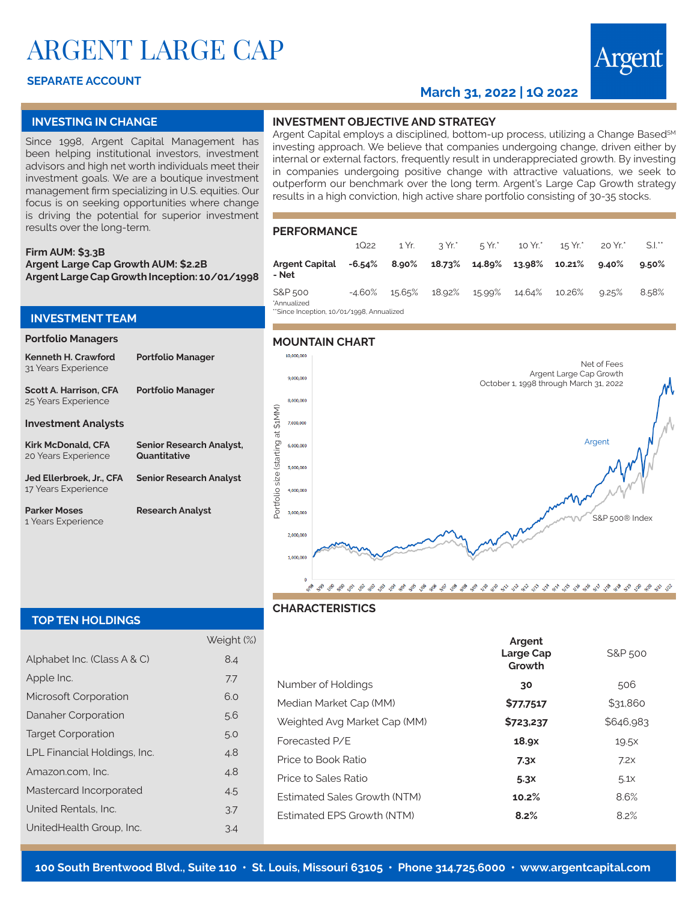# ARGENT LARGE CAP

# **SEPARATE ACCOUNT**

# **March 31, 2022 | 1Q 2022**

## **INVESTING IN CHANGE**

Since 1998, Argent Capital Management has been helping institutional investors, investment advisors and high net worth individuals meet their investment goals. We are a boutique investment management firm specializing in U.S. equities. Our focus is on seeking opportunities where change is driving the potential for superior investment results over the long-term.

#### **Firm AUM: \$3.3B Argent Large Cap Growth AUM: \$2.2B Argent Large Cap Growth Inception: 10/01/1998**

## **INVESTMENT TEAM**

#### **Portfolio Managers**

| Kenneth H. Crawford<br>31 Years Experience           | <b>Portfolio Manager</b>                        |
|------------------------------------------------------|-------------------------------------------------|
| <b>Scott A. Harrison, CFA</b><br>25 Years Experience | <b>Portfolio Manager</b>                        |
| <b>Investment Analysts</b>                           |                                                 |
| Kirk McDonald, CFA<br>20 Years Experience            | <b>Senior Research Analyst,</b><br>Quantitative |
| Jed Ellerbroek. Jr CFA<br>17 Years Experience        | <b>Senior Research Analyst</b>                  |
| <b>Parker Moses</b><br>1 Years Experience            | <b>Research Analyst</b>                         |

### **INVESTMENT OBJECTIVE AND STRATEGY**

Argent Capital employs a disciplined, bottom-up process, utilizing a Change Based<sup>SM</sup> investing approach. We believe that companies undergoing change, driven either by internal or external factors, frequently result in underappreciated growth. By investing in companies undergoing positive change with attractive valuations, we seek to outperform our benchmark over the long term. Argent's Large Cap Growth strategy results in a high conviction, high active share portfolio consisting of 30-35 stocks.

#### **PERFORMANCE**

|                                                                       | 1Q22      | 1 Yr.  |        |        |        | $3 Yr^*$ 5 Yr. $5 Yr^*$ 10 Yr. 15 Yr. | 20 Yr.*  | $S.l.^{**}$ |
|-----------------------------------------------------------------------|-----------|--------|--------|--------|--------|---------------------------------------|----------|-------------|
| <b>Argent Capital</b><br>- Net                                        | -6.54%    | 8.90%  | 18.73% | 14.89% | 13.98% | $10.21\%$                             | $9.40\%$ | $9.50\%$    |
| S&P 500<br>*Annualized<br>**Class lessation on /oo /ooO Applicational | $-4.60\%$ | 15.65% | 18.92% | 15.99% | 14.64% | 10.26%                                | 9.25%    | 8.58%       |

on, 10/01/1998, Annu

#### **MOUNTAIN CHART**



#### **TOP TEN HOLDINGS**

|                              | Weight (%) |
|------------------------------|------------|
| Alphabet Inc. (Class A & C)  | 8.4        |
| Apple Inc.                   | 7.7        |
| Microsoft Corporation        | 6.0        |
| Danaher Corporation          | 5.6        |
| <b>Target Corporation</b>    | 5.0        |
| LPL Financial Holdings, Inc. | 4.8        |
| Amazon.com. Inc.             | 4.8        |
| Mastercard Incorporated      | 4.5        |
| United Rentals, Inc.         | 3.7        |
| UnitedHealth Group, Inc.     | 3.4        |

# **CHARACTERISTICS**

|                                     | Argent<br>Large Cap<br>Growth | S&P 500          |
|-------------------------------------|-------------------------------|------------------|
| Number of Holdings                  | 30                            | 506              |
| Median Market Cap (MM)              | \$77,7517                     | \$31,860         |
| Weighted Avg Market Cap (MM)        | \$723,237                     | \$646,983        |
| Forecasted P/F                      | 18.9x                         | 19.5x            |
| Price to Book Ratio                 | 7.3x                          | 7.2x             |
| Price to Sales Ratio                | 5.3x                          | 5.1 <sub>X</sub> |
| <b>Estimated Sales Growth (NTM)</b> | 10.2%                         | 8.6%             |
| <b>Estimated FPS Growth (NTM)</b>   | 8.2%                          | 8.2%             |
|                                     |                               |                  |